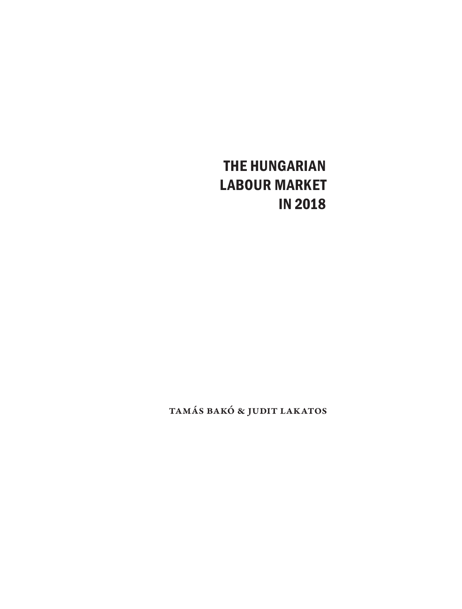# **THE HUNGARIAN LABOUR MARKET IN 2018**

Tamás Bakó & Judit Lakatos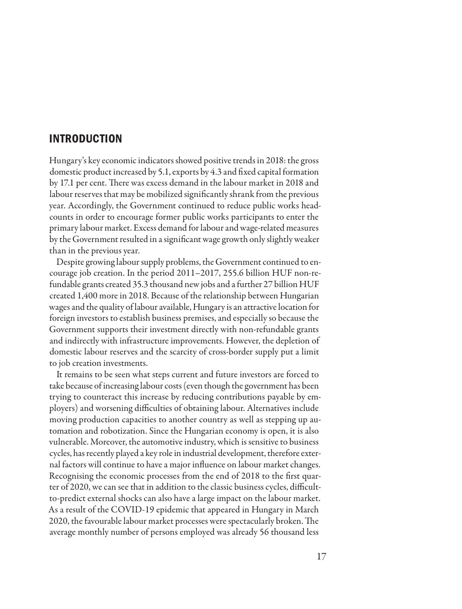### **INTRODUCTION**

Hungary's key economic indicators showed positive trends in 2018: the gross domestic product increased by 5.1, exports by 4.3 and fixed capital formation by 17.1 per cent. There was excess demand in the labour market in 2018 and labour reserves that may be mobilized significantly shrank from the previous year. Accordingly, the Government continued to reduce public works headcounts in order to encourage former public works participants to enter the primary labour market. Excess demand for labour and wage-related measures by the Government resulted in a significant wage growth only slightly weaker than in the previous year.

Despite growing labour supply problems, the Government continued to encourage job creation. In the period 2011–2017, 255.6 billion HUF non-refundable grants created 35.3 thousand new jobs and a further 27 billion HUF created 1,400 more in 2018. Because of the relationship between Hungarian wages and the quality of labour available, Hungary is an attractive location for foreign investors to establish business premises, and especially so because the Government supports their investment directly with non-refundable grants and indirectly with infrastructure improvements. However, the depletion of domestic labour reserves and the scarcity of cross-border supply put a limit to job creation investments.

It remains to be seen what steps current and future investors are forced to take because of increasing labour costs (even though the government has been trying to counteract this increase by reducing contributions payable by employers) and worsening difficulties of obtaining labour. Alternatives include moving production capacities to another country as well as stepping up automation and robotization. Since the Hungarian economy is open, it is also vulnerable. Moreover, the automotive industry, which is sensitive to business cycles, has recently played a key role in industrial development, therefore external factors will continue to have a major influence on labour market changes. Recognising the economic processes from the end of 2018 to the first quarter of 2020, we can see that in addition to the classic business cycles, difficultto-predict external shocks can also have a large impact on the labour market. As a result of the COVID-19 epidemic that appeared in Hungary in March 2020, the favourable labour market processes were spectacularly broken. The average monthly number of persons employed was already 56 thousand less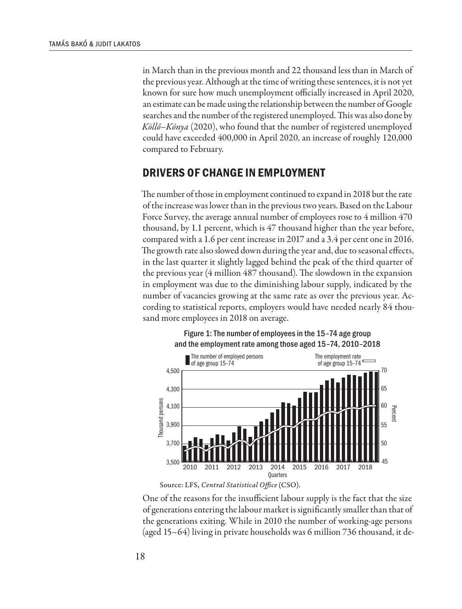in March than in the previous month and 22 thousand less than in March of the previous year. Although at the time of writing these sentences, it is not yet known for sure how much unemployment officially increased in April 2020, an estimate can be made using the relationship between the number of Google searches and the number of the registered unemployed. This was also done by *Köllő–Kónya* (2020), who found that the number of registered unemployed could have exceeded 400,000 in April 2020, an increase of roughly 120,000 compared to February.

## **DRIVERS OF CHANGE IN EMPLOYMENT**

The number of those in employment continued to expand in 2018 but the rate of the increase was lower than in the previous two years. Based on the Labour Force Survey, the average annual number of employees rose to 4 million 470 thousand, by 1.1 percent, which is 47 thousand higher than the year before, compared with a 1.6 per cent increase in 2017 and a 3.4 per cent one in 2016. The growth rate also slowed down during the year and, due to seasonal effects, in the last quarter it slightly lagged behind the peak of the third quarter of the previous year (4 million 487 thousand). The slowdown in the expansion in employment was due to the diminishing labour supply, indicated by the number of vacancies growing at the same rate as over the previous year. According to statistical reports, employers would have needed nearly 84 thousand more employees in 2018 on average.



Figure 1: The number of employees in the 15–74 age group



One of the reasons for the insufficient labour supply is the fact that the size of generations entering the labour market is significantly smaller than that of the generations exiting. While in 2010 the number of working-age persons (aged 15–64) living in private households was 6 million 736 thousand, it de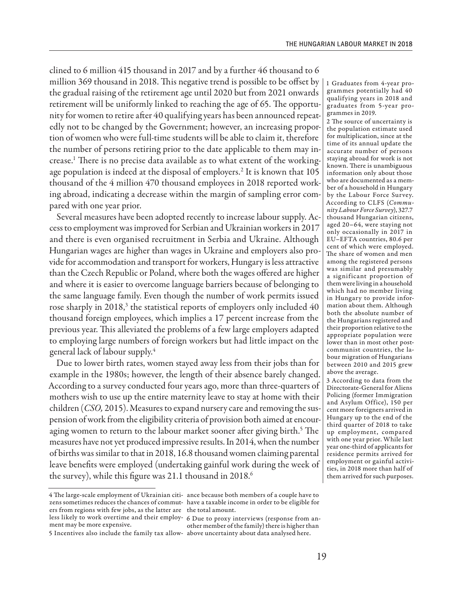clined to 6 million 415 thousand in 2017 and by a further 46 thousand to 6 million 369 thousand in 2018. This negative trend is possible to be offset by the gradual raising of the retirement age until 2020 but from 2021 onwards retirement will be uniformly linked to reaching the age of 65. The opportunity for women to retire after 40 qualifying years has been announced repeatedly not to be changed by the Government; however, an increasing proportion of women who were full-time students will be able to claim it, therefore the number of persons retiring prior to the date applicable to them may increase.1 There is no precise data available as to what extent of the workingage population is indeed at the disposal of employers.2 It is known that 105 thousand of the 4 million 470 thousand employees in 2018 reported working abroad, indicating a decrease within the margin of sampling error compared with one year prior.

Several measures have been adopted recently to increase labour supply. Access to employment was improved for Serbian and Ukrainian workers in 2017 and there is even organised recruitment in Serbia and Ukraine. Although Hungarian wages are higher than wages in Ukraine and employers also provide for accommodation and transport for workers, Hungary is less attractive than the Czech Republic or Poland, where both the wages offered are higher and where it is easier to overcome language barriers because of belonging to the same language family. Even though the number of work permits issued rose sharply in 2018,<sup>3</sup> the statistical reports of employers only included 40 thousand foreign employees, which implies a 17 percent increase from the previous year. This alleviated the problems of a few large employers adapted to employing large numbers of foreign workers but had little impact on the general lack of labour supply.4

Due to lower birth rates, women stayed away less from their jobs than for example in the 1980s; however, the length of their absence barely changed. According to a survey conducted four years ago, more than three-quarters of mothers wish to use up the entire maternity leave to stay at home with their children (*CSO,* 2015). Measures to expand nursery care and removing the suspension of work from the eligibility criteria of provision both aimed at encouraging women to return to the labour market sooner after giving birth.<sup>5</sup> The measures have not yet produced impressive results. In 2014, when the number of births was similar to that in 2018, 16.8 thousand women claiming parental leave benefits were employed (undertaking gainful work during the week of the survey), while this figure was 21.1 thousand in 2018.<sup>6</sup>

5 Incentives also include the family tax allow-above uncertainty about data analysed here.other member of the family) there is higher than

1 Graduates from 4-year programmes potentially had 40 qualifying years in 2018 and graduates from 5-year programmes in 2019.

2 The source of uncertainty is the population estimate used for multiplication, since at the time of its annual update the accurate number of persons staying abroad for work is not known. There is unambiguous information only about those who are documented as a member of a household in Hungary by the Labour Force Survey. According to CLFS (*Community Labour Force Survey*), 327.7 thousand Hungarian citizens, aged 20–64, were staying not only occasionally in 2017 in EU–EFTA countries, 80.6 per cent of which were employed. The share of women and men among the registered persons was similar and presumably a significant proportion of them were living in a household which had no member living in Hungary to provide information about them. Although both the absolute number of the Hungarians registered and their proportion relative to the appropriate population were lower than in most other postcommunist countries, the labour migration of Hungarians between 2010 and 2015 grew above the average.

3 According to data from the Directorate-General for Aliens Policing (former Immigration and Asylum Office), 150 per cent more foreigners arrived in Hungary up to the end of the third quarter of 2018 to take up employment, compared with one year prior. While last year one-third of applicants for residence permits arrived for employment or gainful activities, in 2018 more than half of them arrived for such purposes.

ers from regions with few jobs, as the latter are the total amount. less likely to work overtime and their employ-6 Due to proxy interviews (response from anment may be more expensive.

<sup>4</sup> The large-scale employment of Ukrainian citi-ance because both members of a couple have to zens sometimes reduces the chances of commut-have a taxable income in order to be eligible for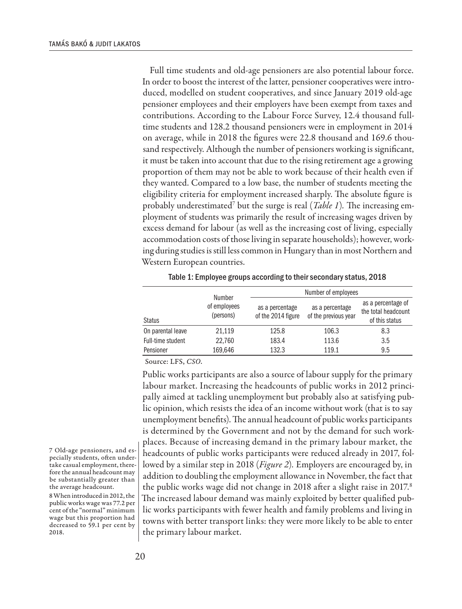Full time students and old-age pensioners are also potential labour force. In order to boost the interest of the latter, pensioner cooperatives were introduced, modelled on student cooperatives, and since January 2019 old-age pensioner employees and their employers have been exempt from taxes and contributions. According to the Labour Force Survey, 12.4 thousand fulltime students and 128.2 thousand pensioners were in employment in 2014 on average, while in 2018 the figures were 22.8 thousand and 169.6 thousand respectively. Although the number of pensioners working is significant, it must be taken into account that due to the rising retirement age a growing proportion of them may not be able to work because of their health even if they wanted. Compared to a low base, the number of students meeting the eligibility criteria for employment increased sharply. The absolute figure is probably underestimated<sup>7</sup> but the surge is real (*Table 1*). The increasing employment of students was primarily the result of increasing wages driven by excess demand for labour (as well as the increasing cost of living, especially accommodation costs of those living in separate households); however, working during studies is still less common in Hungary than in most Northern and Western European countries.

| <b>Status</b>     | Number<br>of employees<br>(persons) | Number of employees                   |                                         |                                                             |  |  |  |
|-------------------|-------------------------------------|---------------------------------------|-----------------------------------------|-------------------------------------------------------------|--|--|--|
|                   |                                     | as a percentage<br>of the 2014 figure | as a percentage<br>of the previous year | as a percentage of<br>the total headcount<br>of this status |  |  |  |
| On parental leave | 21,119                              | 125.8                                 | 106.3                                   | 8.3                                                         |  |  |  |
| Full-time student | 22,760                              | 183.4                                 | 113.6                                   | 3.5                                                         |  |  |  |
| Pensioner         | 169.646                             | 132.3                                 | 119.1                                   | 9.5                                                         |  |  |  |

Table 1: Employee groups according to their secondary status, 2018

Source: LFS, *CSO*.

Public works participants are also a source of labour supply for the primary labour market. Increasing the headcounts of public works in 2012 principally aimed at tackling unemployment but probably also at satisfying public opinion, which resists the idea of an income without work (that is to say unemployment benefits). The annual headcount of public works participants is determined by the Government and not by the demand for such workplaces. Because of increasing demand in the primary labour market, the headcounts of public works participants were reduced already in 2017, followed by a similar step in 2018 (*Figure 2*)*.* Employers are encouraged by, in addition to doubling the employment allowance in November, the fact that the public works wage did not change in 2018 after a slight raise in 2017.<sup>8</sup> The increased labour demand was mainly exploited by better qualified public works participants with fewer health and family problems and living in towns with better transport links: they were more likely to be able to enter the primary labour market.

7 Old-age pensioners, and especially students, often undertake casual employment, therefore the annual headcount may be substantially greater than the average headcount. 8 When introduced in 2012, the public works wage was 77.2 per cent of the "normal" minimum wage but this proportion had decreased to 59.1 per cent by 2018.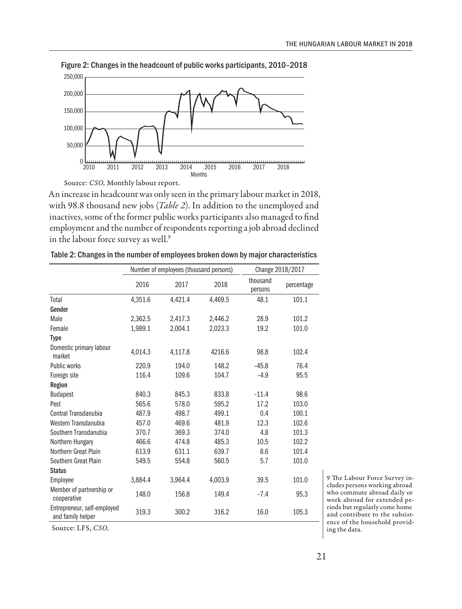

Figure 2: Changes in the headcount of public works participants, 2010–2018

Source: *CSO,* Monthly labour report.

An increase in headcount was only seen in the primary labour market in 2018, with 98.8 thousand new jobs (*Table 2*). In addition to the unemployed and inactives, some of the former public works participants also managed to find employment and the number of respondents reporting a job abroad declined in the labour force survey as well.<sup>9</sup>

|                                                  | Number of employees (thousand persons) |         |         | Change 2018/2017    |            |  |
|--------------------------------------------------|----------------------------------------|---------|---------|---------------------|------------|--|
|                                                  | 2016                                   | 2017    | 2018    | thousand<br>persons | percentage |  |
| Total                                            | 4,351.6                                | 4,421.4 | 4,469.5 | 48.1                | 101.1      |  |
| Gender                                           |                                        |         |         |                     |            |  |
| Male                                             | 2,362.5                                | 2,417.3 | 2.446.2 | 28.9                | 101.2      |  |
| Female                                           | 1,989.1                                | 2,004.1 | 2,023.3 | 19.2                | 101.0      |  |
| <b>Type</b>                                      |                                        |         |         |                     |            |  |
| Domestic primary labour<br>market                | 4,014.3                                | 4,117.8 | 4216.6  | 98.8                | 102.4      |  |
| Public works                                     | 220.9                                  | 194.0   | 148.2   | $-45.8$             | 76.4       |  |
| Foreign site                                     | 116.4                                  | 109.6   | 104.7   | $-4.9$              | 95.5       |  |
| Region                                           |                                        |         |         |                     |            |  |
| <b>Budapest</b>                                  | 840.3                                  | 845.3   | 833.8   | $-11.4$             | 98.6       |  |
| Pest                                             | 565.6                                  | 578.0   | 595.2   | 17.2                | 103.0      |  |
| Central Transdanubia                             | 487.9                                  | 498.7   | 499.1   | 0.4                 | 100.1      |  |
| Western Transdanubia                             | 457.0                                  | 469.6   | 481.9   | 12.3                | 102.6      |  |
| Southern Transdanubia                            | 370.7                                  | 369.3   | 374.0   | 4.8                 | 101.3      |  |
| Northern Hungary                                 | 466.6                                  | 474.8   | 485.3   | 10.5                | 102.2      |  |
| Northern Great Plain                             | 613.9                                  | 631.1   | 639.7   | 8.6                 | 101.4      |  |
| Southern Great Plain                             | 549.5                                  | 554.8   | 560.5   | 5.7                 | 101.0      |  |
| <b>Status</b>                                    |                                        |         |         |                     |            |  |
| Employee                                         | 3.884.4                                | 3.964.4 | 4,003.9 | 39.5                | 101.0      |  |
| Member of partnership or<br>cooperative          | 148.0                                  | 156.8   | 149.4   | $-7.4$              | 95.3       |  |
| Entrepreneur, self-employed<br>and family helper | 319.3                                  | 300.2   | 316.2   | 16.0                | 105.3      |  |

Table 2: Changes in the number of employees broken down by major characteristics

Source: LFS, *CSO*.

9 The Labour Force Survey includes persons working abroad who commute abroad daily or work abroad for extended periods but regularly come home and contribute to the subsistence of the household providing the data.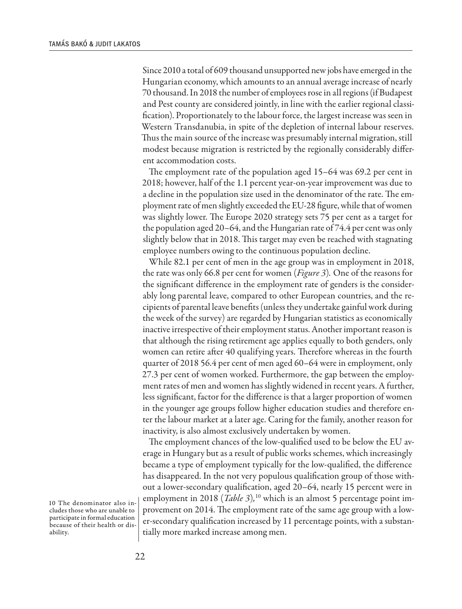Since 2010 a total of 609 thousand unsupported new jobs have emerged in the Hungarian economy, which amounts to an annual average increase of nearly 70 thousand. In 2018 the number of employees rose in all regions (if Budapest and Pest county are considered jointly, in line with the earlier regional classification). Proportionately to the labour force, the largest increase was seen in Western Transdanubia, in spite of the depletion of internal labour reserves. Thus the main source of the increase was presumably internal migration, still modest because migration is restricted by the regionally considerably different accommodation costs.

The employment rate of the population aged 15–64 was 69.2 per cent in 2018; however, half of the 1.1 percent year-on-year improvement was due to a decline in the population size used in the denominator of the rate. The employment rate of men slightly exceeded the EU-28 figure, while that of women was slightly lower. The Europe 2020 strategy sets 75 per cent as a target for the population aged 20–64, and the Hungarian rate of 74.4 per cent was only slightly below that in 2018. This target may even be reached with stagnating employee numbers owing to the continuous population decline.

While 82.1 per cent of men in the age group was in employment in 2018, the rate was only 66.8 per cent for women (*Figure 3*)*.* One of the reasons for the significant difference in the employment rate of genders is the considerably long parental leave, compared to other European countries, and the recipients of parental leave benefits (unless they undertake gainful work during the week of the survey) are regarded by Hungarian statistics as economically inactive irrespective of their employment status. Another important reason is that although the rising retirement age applies equally to both genders, only women can retire after 40 qualifying years. Therefore whereas in the fourth quarter of 2018 56.4 per cent of men aged 60–64 were in employment, only 27.3 per cent of women worked. Furthermore, the gap between the employment rates of men and women has slightly widened in recent years. A further, less significant, factor for the difference is that a larger proportion of women in the younger age groups follow higher education studies and therefore enter the labour market at a later age. Caring for the family, another reason for inactivity, is also almost exclusively undertaken by women.

The employment chances of the low-qualified used to be below the EU average in Hungary but as a result of public works schemes, which increasingly became a type of employment typically for the low-qualified, the difference has disappeared. In the not very populous qualification group of those without a lower-secondary qualification, aged 20–64, nearly 15 percent were in employment in 2018 (*Table 3*)*,* 10 which is an almost 5 percentage point improvement on 2014. The employment rate of the same age group with a lower-secondary qualification increased by 11 percentage points, with a substantially more marked increase among men.

10 The denominator also includes those who are unable to participate in formal education because of their health or disability.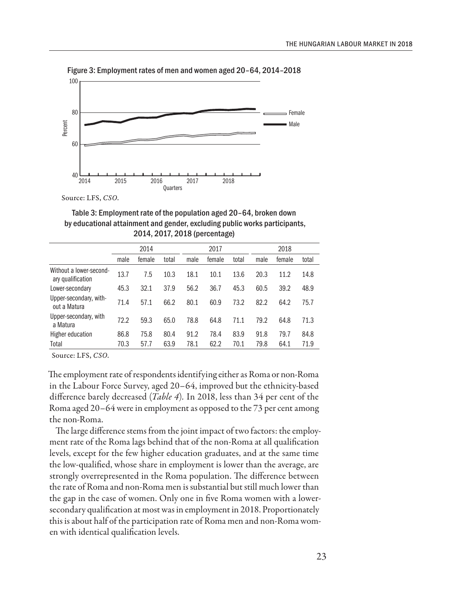

Figure 3: Employment rates of men and women aged 20–64, 2014–2018

Source: LFS, *CSO*.

Table 3: Employment rate of the population aged 20–64, broken down by educational attainment and gender, excluding public works participants, 2014, 2017, 2018 (percentage)

|                                              | 2014 |        |       | 2017 |        |       | 2018 |        |       |
|----------------------------------------------|------|--------|-------|------|--------|-------|------|--------|-------|
|                                              | male | female | total | male | female | total | male | female | total |
| Without a lower-second-<br>ary qualification | 13.7 | 7.5    | 10.3  | 18.1 | 10.1   | 13.6  | 20.3 | 11.2   | 14.8  |
| Lower-secondary                              | 45.3 | 32.1   | 37.9  | 56.2 | 36.7   | 45.3  | 60.5 | 39.2   | 48.9  |
| Upper-secondary, with-<br>out a Matura       | 71.4 | 57.1   | 66.2  | 80.1 | 60.9   | 73.2  | 82.2 | 64.2   | 75.7  |
| Upper-secondary, with<br>a Matura            | 72.2 | 59.3   | 65.0  | 78.8 | 64.8   | 71.1  | 79.2 | 64.8   | 71.3  |
| Higher education                             | 86.8 | 75.8   | 80.4  | 91.2 | 78.4   | 83.9  | 91.8 | 79.7   | 84.8  |
| Total                                        | 70.3 | 57.7   | 63.9  | 78.1 | 62.2   | 70.1  | 79.8 | 64.1   | 71.9  |

Source: LFS, *CSO*.

The employment rate of respondents identifying either as Roma or non-Roma in the Labour Force Survey, aged 20–64, improved but the ethnicity-based difference barely decreased (*Table 4*)*.* In 2018, less than 34 per cent of the Roma aged 20–64 were in employment as opposed to the 73 per cent among the non-Roma.

The large difference stems from the joint impact of two factors: the employment rate of the Roma lags behind that of the non-Roma at all qualification levels, except for the few higher education graduates, and at the same time the low-qualified, whose share in employment is lower than the average, are strongly overrepresented in the Roma population. The difference between the rate of Roma and non-Roma men is substantial but still much lower than the gap in the case of women. Only one in five Roma women with a lowersecondary qualification at most was in employment in 2018. Proportionately this is about half of the participation rate of Roma men and non-Roma women with identical qualification levels.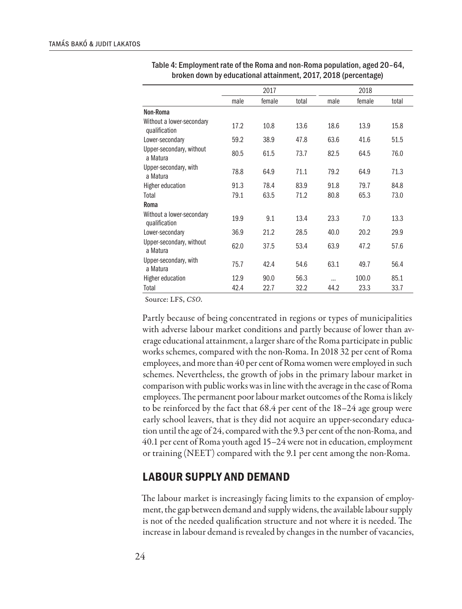|                                            | 2017 |        |       |                      | 2018   |       |  |
|--------------------------------------------|------|--------|-------|----------------------|--------|-------|--|
|                                            | male | female | total | male                 | female | total |  |
| Non-Roma                                   |      |        |       |                      |        |       |  |
| Without a lower-secondary<br>qualification | 17.2 | 10.8   | 13.6  | 18.6                 | 13.9   | 15.8  |  |
| Lower-secondary                            | 59.2 | 38.9   | 47.8  | 63.6                 | 41.6   | 51.5  |  |
| Upper-secondary, without<br>a Matura       | 80.5 | 61.5   | 73.7  | 82.5                 | 64.5   | 76.0  |  |
| Upper-secondary, with<br>a Matura          | 78.8 | 64.9   | 71.1  | 79.2                 | 64.9   | 71.3  |  |
| Higher education                           | 91.3 | 78.4   | 83.9  | 91.8                 | 79.7   | 84.8  |  |
| Total                                      | 79.1 | 63.5   | 71.2  | 80.8                 | 65.3   | 73.0  |  |
| Roma                                       |      |        |       |                      |        |       |  |
| Without a lower-secondary<br>qualification | 19.9 | 9.1    | 13.4  | 23.3                 | 7.0    | 13.3  |  |
| Lower-secondary                            | 36.9 | 21.2   | 28.5  | 40.0                 | 20.2   | 29.9  |  |
| Upper-secondary, without<br>a Matura       | 62.0 | 37.5   | 53.4  | 63.9                 | 47.2   | 57.6  |  |
| Upper-secondary, with<br>a Matura          | 75.7 | 42.4   | 54.6  | 63.1                 | 49.7   | 56.4  |  |
| Higher education                           | 12.9 | 90.0   | 56.3  | $\ddot{\phantom{a}}$ | 100.0  | 85.1  |  |
| Total                                      | 42.4 | 22.7   | 32.2  | 44.2                 | 23.3   | 33.7  |  |

Table 4: Employment rate of the Roma and non-Roma population, aged 20–64, broken down by educational attainment, 2017, 2018 (percentage)

Source: LFS, *CSO*.

Partly because of being concentrated in regions or types of municipalities with adverse labour market conditions and partly because of lower than average educational attainment, a larger share of the Roma participate in public works schemes, compared with the non-Roma. In 2018 32 per cent of Roma employees, and more than 40 per cent of Roma women were employed in such schemes. Nevertheless, the growth of jobs in the primary labour market in comparison with public works was in line with the average in the case of Roma employees. The permanent poor labour market outcomes of the Roma is likely to be reinforced by the fact that 68.4 per cent of the 18–24 age group were early school leavers, that is they did not acquire an upper-secondary education until the age of 24, compared with the 9.3 per cent of the non-Roma, and 40.1 per cent of Roma youth aged 15–24 were not in education, employment or training (NEET) compared with the 9.1 per cent among the non-Roma.

#### **LABOUR SUPPLY AND DEMAND**

The labour market is increasingly facing limits to the expansion of employment, the gap between demand and supply widens, the available labour supply is not of the needed qualification structure and not where it is needed. The increase in labour demand is revealed by changes in the number of vacancies,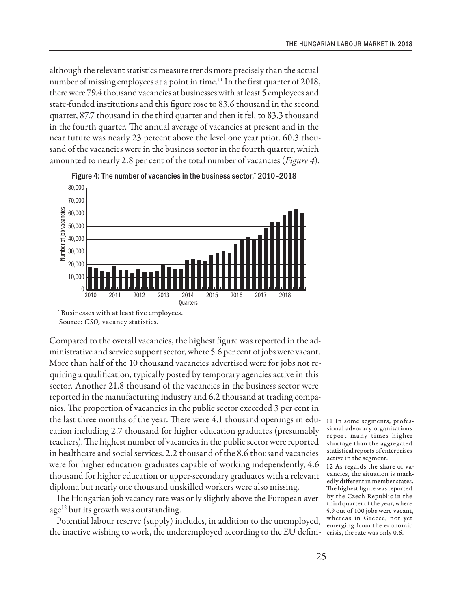although the relevant statistics measure trends more precisely than the actual number of missing employees at a point in time.<sup>11</sup> In the first quarter of 2018, there were 79.4 thousand vacancies at businesses with at least 5 employees and state-funded institutions and this figure rose to 83.6 thousand in the second quarter, 87.7 thousand in the third quarter and then it fell to 83.3 thousand in the fourth quarter. The annual average of vacancies at present and in the near future was nearly 23 percent above the level one year prior. 60.3 thousand of the vacancies were in the business sector in the fourth quarter, which amounted to nearly 2.8 per cent of the total number of vacancies (*Figure 4*)*.*





Compared to the overall vacancies, the highest figure was reported in the administrative and service support sector, where 5.6 per cent of jobs were vacant. More than half of the 10 thousand vacancies advertised were for jobs not requiring a qualification, typically posted by temporary agencies active in this sector. Another 21.8 thousand of the vacancies in the business sector were reported in the manufacturing industry and 6.2 thousand at trading companies. The proportion of vacancies in the public sector exceeded 3 per cent in the last three months of the year. There were 4.1 thousand openings in edu-11 In some segments, profescation including 2.7 thousand for higher education graduates (presumably teachers). The highest number of vacancies in the public sector were reported in healthcare and social services. 2.2 thousand of the 8.6 thousand vacancies were for higher education graduates capable of working independently, 4.6 thousand for higher education or upper-secondary graduates with a relevant diploma but nearly one thousand unskilled workers were also missing.

The Hungarian job vacancy rate was only slightly above the European average<sup>12</sup> but its growth was outstanding.

Potential labour reserve (supply) includes, in addition to the unemployed, the inactive wishing to work, the underemployed according to the EU defini- crisis, the rate was only 0.6.

sional advocacy organisations report many times higher shortage than the aggregated statistical reports of enterprises active in the segment. 12 As regards the share of vacancies, the situation is markedly different in member states. The highest figure was reported by the Czech Republic in the third quarter of the year, where 5.9 out of 100 jobs were vacant, whereas in Greece, not yet emerging from the economic

<sup>\*</sup> Businesses with at least five employees. Source: *CSO,* vacancy statistics.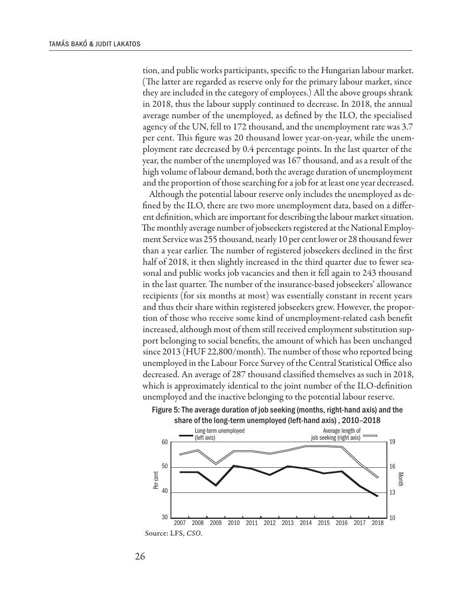tion, and public works participants, specific to the Hungarian labour market. (The latter are regarded as reserve only for the primary labour market, since they are included in the category of employees.) All the above groups shrank in 2018, thus the labour supply continued to decrease. In 2018, the annual average number of the unemployed, as defined by the ILO, the specialised agency of the UN, fell to 172 thousand, and the unemployment rate was 3.7 per cent. This figure was 20 thousand lower year-on-year, while the unemployment rate decreased by 0.4 percentage points. In the last quarter of the year, the number of the unemployed was 167 thousand, and as a result of the high volume of labour demand, both the average duration of unemployment and the proportion of those searching for a job for at least one year decreased.

Although the potential labour reserve only includes the unemployed as defined by the ILO, there are two more unemployment data, based on a different definition, which are important for describing the labour market situation. The monthly average number of jobseekers registered at the National Employment Service was 255 thousand, nearly 10 per cent lower or 28 thousand fewer than a year earlier. The number of registered jobseekers declined in the first half of 2018, it then slightly increased in the third quarter due to fewer seasonal and public works job vacancies and then it fell again to 243 thousand in the last quarter. The number of the insurance-based jobseekers' allowance recipients (for six months at most) was essentially constant in recent years and thus their share within registered jobseekers grew. However, the proportion of those who receive some kind of unemployment-related cash benefit increased, although most of them still received employment substitution support belonging to social benefits, the amount of which has been unchanged since 2013 (HUF 22,800/month). The number of those who reported being unemployed in the Labour Force Survey of the Central Statistical Office also decreased. An average of 287 thousand classified themselves as such in 2018, which is approximately identical to the joint number of the ILO-definition unemployed and the inactive belonging to the potential labour reserve.



#### Figure 5: The average duration of job seeking (months, right-hand axis) and the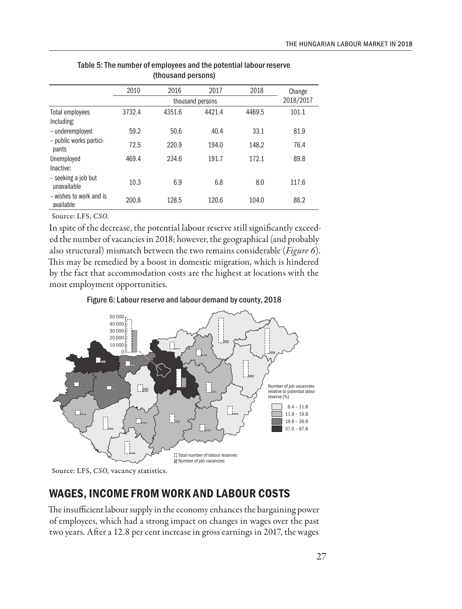| (UNUUSANU PEISUNS)                   |        |        |                  |        |           |  |  |
|--------------------------------------|--------|--------|------------------|--------|-----------|--|--|
|                                      | 2010   | 2016   | 2017             | 2018   | Change    |  |  |
|                                      |        |        | thousand persons |        | 2018/2017 |  |  |
| <b>Total employees</b><br>Including: | 3732.4 | 4351.6 | 4421.4           | 4469.5 | 101.1     |  |  |
| - underemployed                      | 59.2   | 50.6   | 40.4             | 33.1   | 81.9      |  |  |
| - public works partici-<br>pants     | 72.5   | 220.9  | 194.0            | 148.2  | 76.4      |  |  |
| Unemployed<br>Inactive:              | 469.4  | 234.6  | 191.7            | 172.1  | 89.8      |  |  |
| - seeking a job but<br>unavailable   | 10.3   | 6.9    | 6.8              | 8.0    | 117.6     |  |  |
| - wishes to work and is<br>available | 200.8  | 128.5  | 120.6            | 104.0  | 86.2      |  |  |

#### Table 5: The number of employees and the potential labour reserve (thousand persons)

Source: LFS, *CSO*.

In spite of the decrease, the potential labour reserve still significantly exceeded the number of vacancies in 2018; however, the geographical (and probably also structural) mismatch between the two remains considerable (*Figure 6*)*.* This may be remedied by a boost in domestic migration, which is hindered by the fact that accommodation costs are the highest at locations with the most employment opportunities.

Figure 6: Labour reserve and labour demand by county, 2018



Source: LFS, *CSO,* vacancy statistics.

## **WAGES, INCOME FROM WORK AND LABOUR COSTS**

The insufficient labour supply in the economy enhances the bargaining power of employees, which had a strong impact on changes in wages over the past two years. After a 12.8 per cent increase in gross earnings in 2017, the wages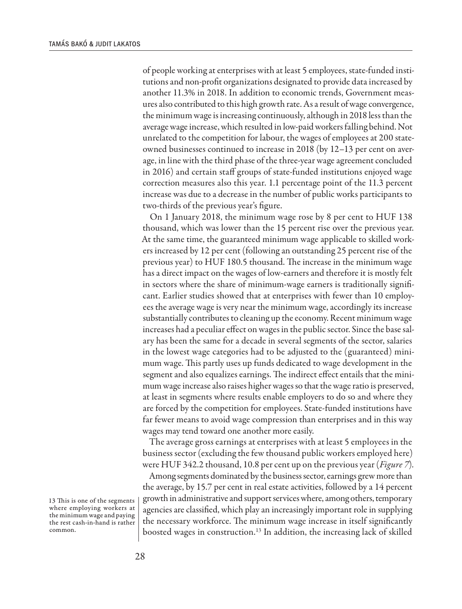of people working at enterprises with at least 5 employees, state-funded institutions and non-profit organizations designated to provide data increased by another 11.3% in 2018. In addition to economic trends, Government measures also contributed to this high growth rate. As a result of wage convergence, the minimum wage is increasing continuously, although in 2018 less than the average wage increase, which resulted in low-paid workers falling behind. Not unrelated to the competition for labour, the wages of employees at 200 stateowned businesses continued to increase in 2018 (by 12–13 per cent on average, in line with the third phase of the three-year wage agreement concluded in 2016) and certain staff groups of state-funded institutions enjoyed wage correction measures also this year. 1.1 percentage point of the 11.3 percent increase was due to a decrease in the number of public works participants to two-thirds of the previous year's figure.

On 1 January 2018, the minimum wage rose by 8 per cent to HUF 138 thousand, which was lower than the 15 percent rise over the previous year. At the same time, the guaranteed minimum wage applicable to skilled workers increased by 12 per cent (following an outstanding 25 percent rise of the previous year) to HUF 180.5 thousand. The increase in the minimum wage has a direct impact on the wages of low-earners and therefore it is mostly felt in sectors where the share of minimum-wage earners is traditionally significant. Earlier studies showed that at enterprises with fewer than 10 employees the average wage is very near the minimum wage, accordingly its increase substantially contributes to cleaning up the economy. Recent minimum wage increases had a peculiar effect on wages in the public sector. Since the base salary has been the same for a decade in several segments of the sector, salaries in the lowest wage categories had to be adjusted to the (guaranteed) minimum wage. This partly uses up funds dedicated to wage development in the segment and also equalizes earnings. The indirect effect entails that the minimum wage increase also raises higher wages so that the wage ratio is preserved, at least in segments where results enable employers to do so and where they are forced by the competition for employees. State-funded institutions have far fewer means to avoid wage compression than enterprises and in this way wages may tend toward one another more easily.

The average gross earnings at enterprises with at least 5 employees in the business sector (excluding the few thousand public workers employed here) were HUF 342.2 thousand, 10.8 per cent up on the previous year (*Figure 7*)*.*

Among segments dominated by the business sector, earnings grew more than the average, by 15.7 per cent in real estate activities, followed by a 14 percent growth in administrative and support services where, among others, temporary agencies are classified, which play an increasingly important role in supplying the necessary workforce. The minimum wage increase in itself significantly boosted wages in construction.13 In addition, the increasing lack of skilled

13 This is one of the segments where employing workers at the minimum wage and paying the rest cash-in-hand is rather common.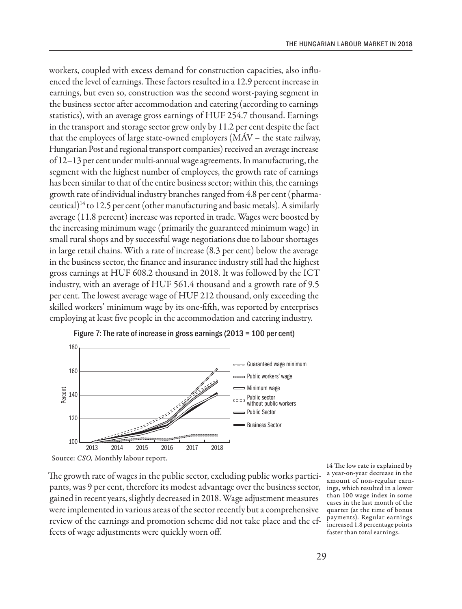workers, coupled with excess demand for construction capacities, also influenced the level of earnings. These factors resulted in a 12.9 percent increase in earnings, but even so, construction was the second worst-paying segment in the business sector after accommodation and catering (according to earnings statistics), with an average gross earnings of HUF 254.7 thousand. Earnings in the transport and storage sector grew only by 11.2 per cent despite the fact that the employees of large state-owned employers (MÁV – the state railway, Hungarian Post and regional transport companies) received an average increase of 12–13 per cent under multi-annual wage agreements. In manufacturing, the segment with the highest number of employees, the growth rate of earnings has been similar to that of the entire business sector; within this, the earnings growth rate of individual industry branches ranged from 4.8 per cent (pharmaceutical)<sup>14</sup> to 12.5 per cent (other manufacturing and basic metals). A similarly average (11.8 percent) increase was reported in trade. Wages were boosted by the increasing minimum wage (primarily the guaranteed minimum wage) in small rural shops and by successful wage negotiations due to labour shortages in large retail chains. With a rate of increase (8.3 per cent) below the average in the business sector, the finance and insurance industry still had the highest gross earnings at HUF 608.2 thousand in 2018. It was followed by the ICT industry, with an average of HUF 561.4 thousand and a growth rate of 9.5 per cent. The lowest average wage of HUF 212 thousand, only exceeding the skilled workers' minimum wage by its one-fifth, was reported by enterprises employing at least five people in the accommodation and catering industry.



The growth rate of wages in the public sector, excluding public works participants, was 9 per cent, therefore its modest advantage over the business sector, gained in recent years, slightly decreased in 2018. Wage adjustment measures were implemented in various areas of the sector recently but a comprehensive review of the earnings and promotion scheme did not take place and the effects of wage adjustments were quickly worn off.

14 The low rate is explained by a year-on-year decrease in the amount of non-regular earnings, which resulted in a lower than 100 wage index in some cases in the last month of the quarter (at the time of bonus payments). Regular earnings increased 1.8 percentage points faster than total earnings.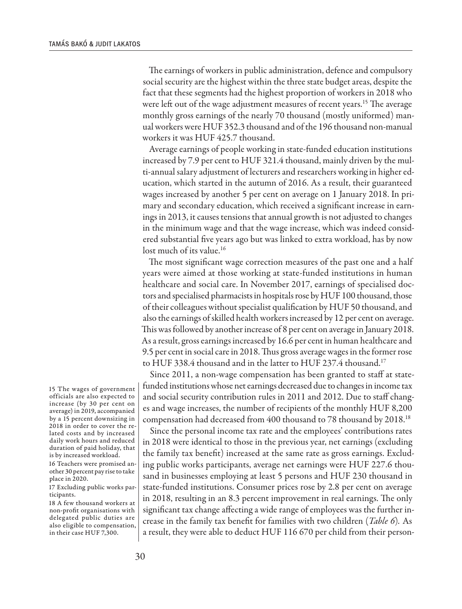The earnings of workers in public administration, defence and compulsory social security are the highest within the three state budget areas, despite the fact that these segments had the highest proportion of workers in 2018 who were left out of the wage adjustment measures of recent years.<sup>15</sup> The average monthly gross earnings of the nearly 70 thousand (mostly uniformed) manual workers were HUF 352.3 thousand and of the 196 thousand non-manual workers it was HUF 425.7 thousand.

Average earnings of people working in state-funded education institutions increased by 7.9 per cent to HUF 321.4 thousand, mainly driven by the multi-annual salary adjustment of lecturers and researchers working in higher education, which started in the autumn of 2016. As a result, their guaranteed wages increased by another 5 per cent on average on 1 January 2018. In primary and secondary education, which received a significant increase in earnings in 2013, it causes tensions that annual growth is not adjusted to changes in the minimum wage and that the wage increase, which was indeed considered substantial five years ago but was linked to extra workload, has by now lost much of its value.<sup>16</sup>

The most significant wage correction measures of the past one and a half years were aimed at those working at state-funded institutions in human healthcare and social care. In November 2017, earnings of specialised doctors and specialised pharmacists in hospitals rose by HUF 100 thousand, those of their colleagues without specialist qualification by HUF 50 thousand, and also the earnings of skilled health workers increased by 12 per cent on average. This was followed by another increase of 8 per cent on average in January 2018. As a result, gross earnings increased by 16.6 per cent in human healthcare and 9.5 per cent in social care in 2018. Thus gross average wages in the former rose to HUF 338.4 thousand and in the latter to HUF 237.4 thousand.<sup>17</sup>

Since 2011, a non-wage compensation has been granted to staff at statefunded institutions whose net earnings decreased due to changes in income tax and social security contribution rules in 2011 and 2012. Due to staff changes and wage increases, the number of recipients of the monthly HUF 8,200 compensation had decreased from 400 thousand to 78 thousand by 2018.18

Since the personal income tax rate and the employees' contributions rates in 2018 were identical to those in the previous year, net earnings (excluding the family tax benefit) increased at the same rate as gross earnings. Excluding public works participants, average net earnings were HUF 227.6 thousand in businesses employing at least 5 persons and HUF 230 thousand in state-funded institutions. Consumer prices rose by 2.8 per cent on average in 2018, resulting in an 8.3 percent improvement in real earnings. The only significant tax change affecting a wide range of employees was the further increase in the family tax benefit for families with two children (*Table 6*)*.* As a result, they were able to deduct HUF 116 670 per child from their person-

15 The wages of government officials are also expected to increase (by 30 per cent on average) in 2019, accompanied by a 15 percent downsizing in 2018 in order to cover the related costs and by increased daily work hours and reduced duration of paid holiday, that is by increased workload.

16 Teachers were promised another 30 percent pay rise to take place in 2020.

17 Excluding public works participants.

18 A few thousand workers at non-profit organisations with delegated public duties are also eligible to compensation, in their case HUF 7,300.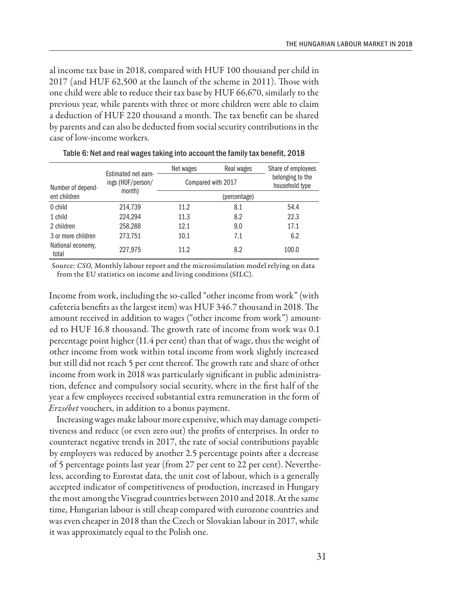al income tax base in 2018, compared with HUF 100 thousand per child in 2017 (and HUF 62,500 at the launch of the scheme in 2011). Those with one child were able to reduce their tax base by HUF 66,670, similarly to the previous year, while parents with three or more children were able to claim a deduction of HUF 220 thousand a month. The tax benefit can be shared by parents and can also be deducted from social security contributions in the case of low-income workers.

|                            | Estimated net earn-<br>ings (HUF/person/<br>month) | Net wages          | Real wages                         | Share of employees |
|----------------------------|----------------------------------------------------|--------------------|------------------------------------|--------------------|
| Number of depend-          |                                                    | Compared with 2017 | belonging to the<br>household type |                    |
| ent children               |                                                    |                    |                                    |                    |
| 0 child                    | 214.739                                            | 11.2               | 8.1                                | 54.4               |
| 1 child                    | 224.294                                            | 11.3               | 8.2                                | 22.3               |
| 2 children                 | 258,288                                            | 12.1               | 9.0                                | 17.1               |
| 3 or more children         | 273.751                                            | 10.1               | 7.1                                | 6.2                |
| National economy,<br>total | 227,975                                            | 11.2               | 8.2                                | 100.0              |

Table 6: Net and real wages taking into account the family tax benefit, 2018

Source: *CSO,* Monthly labour report and the microsimulation model relying on data from the EU statistics on income and living conditions (SILC).

Income from work, including the so-called "other income from work" (with cafeteria benefits as the largest item) was HUF 346.7 thousand in 2018. The amount received in addition to wages ("other income from work") amounted to HUF 16.8 thousand. The growth rate of income from work was 0.1 percentage point higher (11.4 per cent) than that of wage, thus the weight of other income from work within total income from work slightly increased but still did not reach 5 per cent thereof. The growth rate and share of other income from work in 2018 was particularly significant in public administration, defence and compulsory social security, where in the first half of the year a few employees received substantial extra remuneration in the form of *Erzsébet* vouchers, in addition to a bonus payment.

Increasing wages make labour more expensive, which may damage competitiveness and reduce (or even zero out) the profits of enterprises. In order to counteract negative trends in 2017, the rate of social contributions payable by employers was reduced by another 2.5 percentage points after a decrease of 5 percentage points last year (from 27 per cent to 22 per cent). Nevertheless, according to Eurostat data, the unit cost of labour, which is a generally accepted indicator of competitiveness of production, increased in Hungary the most among the Visegrad countries between 2010 and 2018. At the same time, Hungarian labour is still cheap compared with eurozone countries and was even cheaper in 2018 than the Czech or Slovakian labour in 2017, while it was approximately equal to the Polish one.